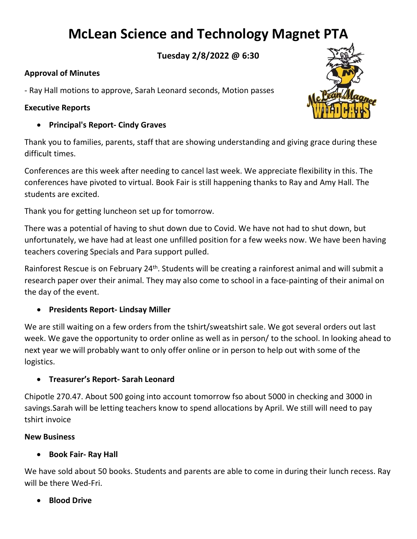# **McLean Science and Technology Magnet PTA**

**Tuesday 2/8/2022 @ 6:30**

## **Approval of Minutes**

- Ray Hall motions to approve, Sarah Leonard seconds, Motion passes

#### **Executive Reports**

• **Principal's Report- Cindy Graves**

Thank you to families, parents, staff that are showing understanding and giving grace during these difficult times.

Conferences are this week after needing to cancel last week. We appreciate flexibility in this. The conferences have pivoted to virtual. Book Fair is still happening thanks to Ray and Amy Hall. The students are excited.

Thank you for getting luncheon set up for tomorrow.

There was a potential of having to shut down due to Covid. We have not had to shut down, but unfortunately, we have had at least one unfilled position for a few weeks now. We have been having teachers covering Specials and Para support pulled.

Rainforest Rescue is on February 24<sup>th</sup>. Students will be creating a rainforest animal and will submit a research paper over their animal. They may also come to school in a face-painting of their animal on the day of the event.

# • **Presidents Report- Lindsay Miller**

We are still waiting on a few orders from the tshirt/sweatshirt sale. We got several orders out last week. We gave the opportunity to order online as well as in person/ to the school. In looking ahead to next year we will probably want to only offer online or in person to help out with some of the logistics.

# • **Treasurer's Report- Sarah Leonard**

Chipotle 270.47. About 500 going into account tomorrow fso about 5000 in checking and 3000 in savings.Sarah will be letting teachers know to spend allocations by April. We still will need to pay tshirt invoice

#### **New Business**

# • **Book Fair- Ray Hall**

We have sold about 50 books. Students and parents are able to come in during their lunch recess. Ray will be there Wed-Fri.

# • **Blood Drive**